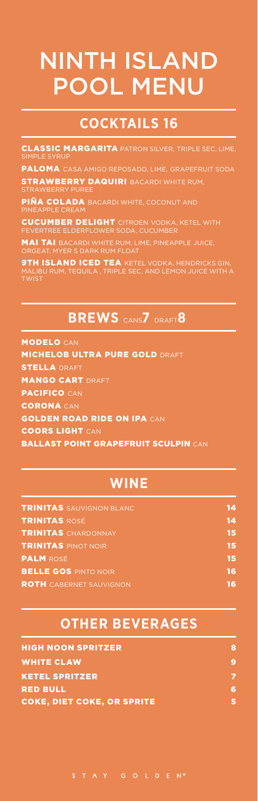# NINTH ISLAND POOL MENU

## **COCKTAILS 16**

CLASSIC MARGARITA PATRON SILVER, TRIPLE SEC, LIME, SIMPLE SYRUP

PALOMA CASA AMIGO REPOSADO, LIME, GRAPEFRUIT SODA

STRAWBERRY DAQUIRI BACARDI WHITE RUM, STRAWBERRY PUREE

PIÑA COLADA BACARDI WHITE, COCONUT AND PINEAPPLE CREAM

CUCUMBER DELIGHT CITROEN VODKA, KETEL WITH FEVERTREE ELDERFLOWER SODA, CUCUMBER

MAI TAI BACARDI WHITE RUM, LIME, PINEAPPLE JUICE, ORGEAT, MYER S DARK RUM FLOAT

**9TH ISLAND ICED TEA** KETEL VODKA, HENDRICKS GIN, MALIBU RUM, TEQUILA , TRIPLE SEC, AND LEMON JUICE WITH A TWIST

# **BREWS** CANS**7** DRAFT**8**

MODELO CAN **MICHELOB ULTRA PURE GOLD DRAFT** STELLA DRAFT MANGO CART DRAFT PACIFICO CAN CORONA CAN GOLDEN ROAD RIDE ON IPA CAN COORS LIGHT CAN **BALLAST POINT GRAPEFRUIT SCULPIN CAN** 

#### **WINE**

| <b>TRINITAS</b> SAUVIGNON BLANC | 14 |
|---------------------------------|----|
| <b>TRINITAS ROSÉ</b>            | 14 |
| <b>TRINITAS</b> CHARDONNAY      | 15 |
| <b>TRINITAS PINOT NOIR</b>      | 15 |
| <b>PALM</b> ROSÉ                | 15 |
| <b>BELLE GOS PINTO NOIR</b>     | 16 |
| <b>ROTH</b> CABERNET SAUVIGNON  | 16 |

#### **OTHER BEVERAGES**

| <b>HIGH NOON SPRITZER</b>         | я |
|-----------------------------------|---|
| <b>WHITE CLAW</b>                 | 9 |
| <b>KETEL SPRITZER</b>             |   |
| <b>RED BULL</b>                   | 6 |
| <b>COKE, DIET COKE, OR SPRITE</b> |   |